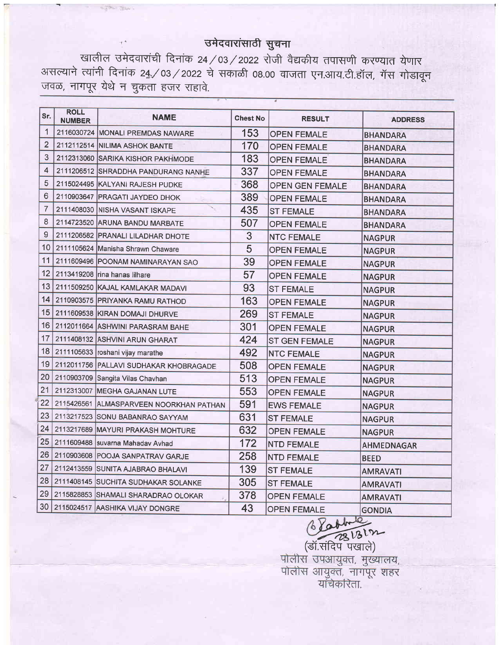## उमेदवारांसाठी सुचना

खालील उमेदवारांची दिनांक 24 / 03 / 2022 रोजी वैद्यकीय तपासणी करण्यात येणार असल्याने त्यांनी दिनांक 24 / 03 / 2022 चे सकाळी 08.00 वाजता एन.आय.टी.हॉल, गॅस गोडावून जवळ, नागपूर येथे न चुकता हजर राहावे.

**STONE COULT** 

| Sr.            | <b>ROLL</b><br><b>NUMBER</b> | <b>NAME</b>                             | <b>Chest No</b> | <b>RESULT</b>          | <b>ADDRESS</b>    |
|----------------|------------------------------|-----------------------------------------|-----------------|------------------------|-------------------|
| 1              |                              | 2116030724 MONALI PREMDAS NAWARE        | 153             | <b>OPEN FEMALE</b>     | <b>BHANDARA</b>   |
| $\overline{2}$ |                              | 2112112514 NILIMA ASHOK BANTE           | 170             | <b>OPEN FEMALE</b>     | BHANDARA          |
| 3              |                              | 2112313060 SARIKA KISHOR PAKHMODE       | 183             | <b>OPEN FEMALE</b>     | <b>BHANDARA</b>   |
| 4              |                              | 2111206512 SHRADDHA PANDURANG NANHE     | 337             | <b>OPEN FEMALE</b>     | BHANDARA          |
| 5              |                              | 2115024495 KALYANI RAJESH PUDKE         | 368             | <b>OPEN GEN FEMALE</b> | <b>BHANDARA</b>   |
| 6              |                              | 2110903647 PRAGATI JAYDEO DHOK          | 389             | <b>OPEN FEMALE</b>     | BHANDARA          |
| 7              |                              | 2111408030 NISHA VASANT ISKAPE          | 435             | <b>ST FEMALE</b>       | BHANDARA          |
| 8              |                              | 2114723520 ARUNA BANDU MARBATE          | 507             | <b>OPEN FEMALE</b>     | <b>BHANDARA</b>   |
| 9              |                              | 2111206582 PRANALI LILADHAR DHOTE       | 3               | <b>NTC FEMALE</b>      | <b>NAGPUR</b>     |
| 10             |                              | 2111105624 Manisha Shrawn Chaware       | 5               | <b>OPEN FEMALE</b>     | <b>NAGPUR</b>     |
| 11             |                              | 2111609496 POONAM NAMINARAYAN SAO       | 39              | <b>OPEN FEMALE</b>     | <b>NAGPUR</b>     |
| 12             |                              | 2113419208 rina hanas lilhare           | 57              | <b>OPEN FEMALE</b>     | <b>NAGPUR</b>     |
| 13             |                              | 2111509250 KAJAL KAMLAKAR MADAVI        | 93              | <b>ST FEMALE</b>       | <b>NAGPUR</b>     |
| 14             |                              | 2110903575 PRIYANKA RAMU RATHOD         | 163             | <b>OPEN FEMALE</b>     | <b>NAGPUR</b>     |
| 15             |                              | 2111609538 KIRAN DOMAJI DHURVE          | 269             | <b>ST FEMALE</b>       | <b>NAGPUR</b>     |
| 16             |                              | 2112011664 ASHWINI PARASRAM BAHE        | 301             | <b>OPEN FEMALE</b>     | <b>NAGPUR</b>     |
| 17             |                              | 2111408132 ASHVINI ARUN GHARAT          | 424             | <b>ST GEN FEMALE</b>   | <b>NAGPUR</b>     |
| 18             |                              | 2111105633 roshani vijay marathe        | 492             | <b>NTC FEMALE</b>      | <b>NAGPUR</b>     |
| 19             |                              | 2112011756 PALLAVI SUDHAKAR KHOBRAGADE  | 508             | <b>OPEN FEMALE</b>     | <b>NAGPUR</b>     |
| 20             |                              | 2110903709 Sangita Vilas Chavhan        | 513             | <b>OPEN FEMALE</b>     | <b>NAGPUR</b>     |
| 21             |                              | 2112313007 MEGHA GAJANAN LUTE           | 553             | <b>OPEN FEMALE</b>     | <b>NAGPUR</b>     |
| 22             |                              | 2115426561 ALMASPARVEEN NOORKHAN PATHAN | 591             | <b>EWS FEMALE</b>      | <b>NAGPUR</b>     |
| 23             |                              | 2113217523 SONU BABANRAO SAYYAM         | 631             | <b>ST FEMALE</b>       | <b>NAGPUR</b>     |
| 24             |                              | 2113217689 MAYURI PRAKASH MOHTURE       | 632             | <b>OPEN FEMALE</b>     | <b>NAGPUR</b>     |
| 25             |                              | 2111609488 suvarna Mahadav Avhad        | 172             | <b>NTD FEMALE</b>      | <b>AHMEDNAGAR</b> |
| 26             |                              | 2110903608 POOJA SANPATRAV GARJE        | 258             | <b>NTD FEMALE</b>      | <b>BEED</b>       |
| 27             |                              | 2112413559 SUNITA AJABRAO BHALAVI       | 139             | <b>ST FEMALE</b>       | <b>AMRAVATI</b>   |
| 28             |                              | 2111408145 SUCHITA SUDHAKAR SOLANKE     | 305             | <b>ST FEMALE</b>       | <b>AMRAVATI</b>   |
| 29             |                              | 2115828853 SHAMALI SHARADRAO OLOKAR     | 378             | <b>OPEN FEMALE</b>     | <b>AMRAVATI</b>   |
| 30             |                              | 2115024517 AASHIKA VIJAY DONGRE         | 43              | <b>OPEN FEMALE</b>     | <b>GONDIA</b>     |

 $6800$ <u>ा म्या प्रधान</u>

पोलीस उपआयुक्त, मुख्यालय,<br>पोलीस आयुक्त, नागपूर शहर<br>यांचेकरिता.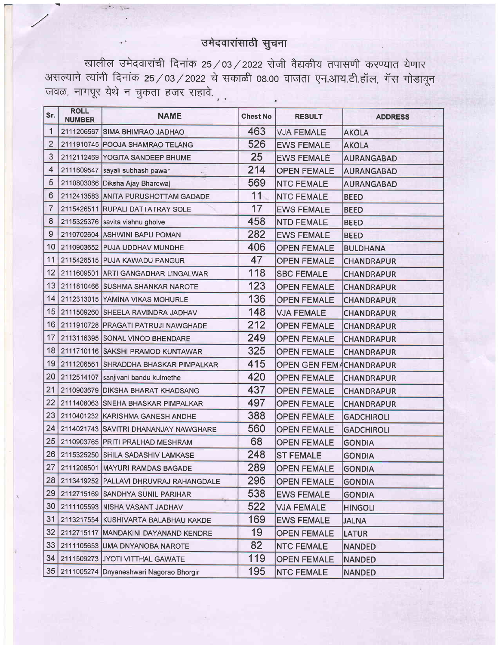## उमेदवारांसाठी सुचना

खालील उमेदवारांची दिनांक 25/03/2022 रोजी वैद्यकीय तपासणी करण्यात येणार<br>असल्याने त्यांनी दिनांक 25/03/2022 चे सकाळी 08.00 वाजता एन.आय.टी.हॉल, गॅस गोडावून जवळ, नागपूर येथे न चुकता हजर राहावे.

| Sr.             | <b>ROLL</b><br><b>NUMBER</b> | <b>NAME</b>                                    | <b>Chest No</b> | <b>RESULT</b>                  | <b>ADDRESS</b>    |
|-----------------|------------------------------|------------------------------------------------|-----------------|--------------------------------|-------------------|
| 1               |                              | 2111206567 SIMA BHIMRAO JADHAO                 | 463             | <b>VJA FEMALE</b>              | <b>AKOLA</b>      |
| $\overline{2}$  |                              | 2111910745 POOJA SHAMRAO TELANG                | 526             | <b>EWS FEMALE</b>              | <b>AKOLA</b>      |
| 3               |                              | 2112112469 YOGITA SANDEEP BHUME                | 25              | <b>EWS FEMALE</b>              | <b>AURANGABAD</b> |
| 4               |                              | 2111609547 sayali subhash pawar                | 214             | <b>OPEN FEMALE</b>             | <b>AURANGABAD</b> |
| 5               |                              | 2110803066 Diksha Ajay Bhardwaj                | 569             | <b>NTC FEMALE</b>              | <b>AURANGABAD</b> |
| 6               |                              | 2112413583 ANITA PURUSHOTTAM GADADE            | 11              | <b>NTC FEMALE</b>              | <b>BEED</b>       |
| 7               |                              | 2115426511 RUPALI DATTATRAY SOLE               | 17              | <b>EWS FEMALE</b>              | <b>BEED</b>       |
| 8               |                              | 2115325376 savita vishnu gholve                | 458             | <b>NTD FEMALE</b>              | <b>BEED</b>       |
| 9               |                              | 2110702604 ASHWINI BAPU POMAN                  | 282             | <b>EWS FEMALE</b>              | <b>BEED</b>       |
| 10 <sup>°</sup> |                              | 2110903652 PUJA UDDHAV MUNDHE                  | 406             | <b>OPEN FEMALE</b>             | <b>BULDHANA</b>   |
| 11              |                              | 2115426515 PUJA KAWADU PANGUR                  | 47              | <b>OPEN FEMALE</b>             | <b>CHANDRAPUR</b> |
| 12              |                              | 2111609501 ARTI GANGADHAR LINGALWAR            | 118             | <b>SBC FEMALE</b>              | <b>CHANDRAPUR</b> |
| 13              |                              | 2111810466 SUSHMA SHANKAR NAROTE               | 123             | <b>OPEN FEMALE</b>             | <b>CHANDRAPUR</b> |
| 14              |                              | 2112313015 YAMINA VIKAS MOHURLE                | 136             | <b>OPEN FEMALE</b>             | <b>CHANDRAPUR</b> |
| 15              |                              | 2111509260 SHEELA RAVINDRA JADHAV              | 148             | <b>VJA FEMALE</b>              | <b>CHANDRAPUR</b> |
| 16              |                              | 2111910728 PRAGATI PATRUJI NAWGHADE            | 212             | <b>OPEN FEMALE</b>             | <b>CHANDRAPUR</b> |
| 17              |                              | 2113116395 SONAL VINOD BHENDARE                | 249             | <b>OPEN FEMALE</b>             | <b>CHANDRAPUR</b> |
| 18              |                              | 2111710116 SAKSHI PRAMOD KUNTAWAR              | 325             | <b>OPEN FEMALE</b>             | <b>CHANDRAPUR</b> |
| 19              |                              | 2111206561 SHRADDHA BHASKAR PIMPALKAR          | 415             | <b>OPEN GEN FEMACHANDRAPUR</b> |                   |
| 20              |                              | 2112514107 sanjivani bandu kulmethe            | 420             | <b>OPEN FEMALE</b>             | <b>CHANDRAPUR</b> |
| 21              |                              | 2110903679 DIKSHA BHARAT KHADSANG              | 437             | <b>OPEN FEMALE</b>             | <b>CHANDRAPUR</b> |
| 22              |                              | 2111408063 SNEHA BHASKAR PIMPALKAR             | 497             | <b>OPEN FEMALE</b>             | <b>CHANDRAPUR</b> |
| 23              |                              | 2110401232 KARISHMA GANESH ANDHE               | 388             | <b>OPEN FEMALE</b>             | <b>GADCHIROLI</b> |
| 24              |                              | 2114021743 SAVITRI DHANANJAY NAWGHARE          | 560             | <b>OPEN FEMALE</b>             | <b>GADCHIROLI</b> |
| 25              |                              | 2110903765 PRITI PRALHAD MESHRAM               | 68              | <b>OPEN FEMALE</b>             | <b>GONDIA</b>     |
| 26              |                              | 2115325250 SHILA SADASHIV LAMKASE              | 248             | <b>ST FEMALE</b>               | <b>GONDIA</b>     |
| 27              |                              | 2111206501 MAYURI RAMDAS BAGADE                | 289             | <b>OPEN FEMALE</b>             | <b>GONDIA</b>     |
| 28              |                              | 2113419252 PALLAVI DHRUVRAJ RAHANGDALE         | 296             | <b>OPEN FEMALE</b>             | <b>GONDIA</b>     |
| 29              |                              | 2112715169 SANDHYA SUNIL PARIHAR               | 538             | <b>EWS FEMALE</b>              | <b>GONDIA</b>     |
| 30              |                              | 2111105593 NISHA VASANT JADHAV                 | 522             | <b>VJA FEMALE</b>              | <b>HINGOLI</b>    |
| 31              |                              | 2113217554 KUSHIVARTA BALABHAU KAKDE           | 169             | <b>EWS FEMALE</b>              | <b>JALNA</b>      |
| 32              |                              | 2112715117 MANDAKINI DAYANAND KENDRE           | 19              | <b>OPEN FEMALE</b>             | <b>LATUR</b>      |
| 33              |                              | 2111105653 UMA DNYANOBA NAROTE                 | 82              | <b>NTC FEMALE</b>              | <b>NANDED</b>     |
| 34              |                              | 2111509273 JYOTI VITTHAL GAWATE                | 119             | <b>OPEN FEMALE</b>             | <b>NANDED</b>     |
|                 |                              | 35   2111005274   Dnyaneshwari Nagorao Bhorgir | 195             | <b>NTC FEMALE</b>              | <b>NANDED</b>     |